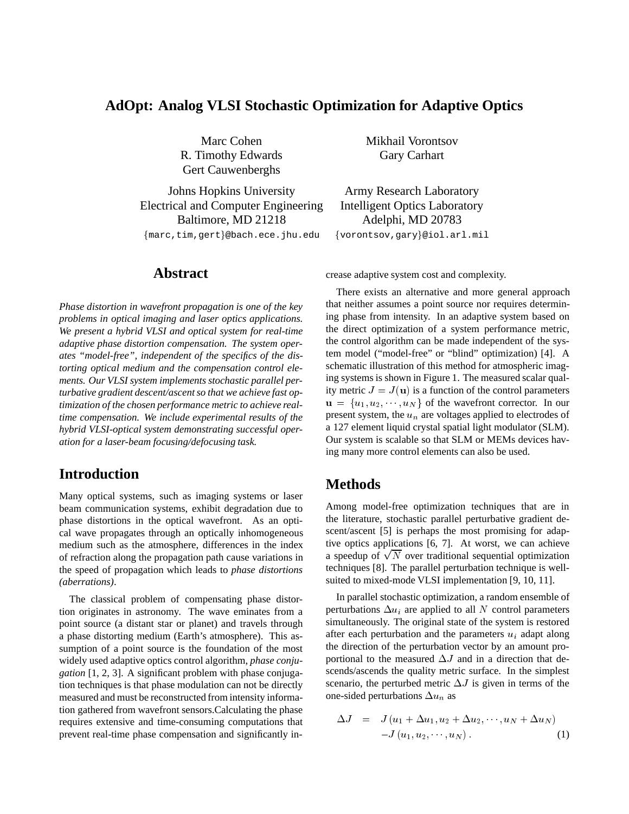### **AdOpt: Analog VLSI Stochastic Optimization for Adaptive Optics**

R. Timothy Edwards Gary Carhart Gert Cauwenberghs

Johns Hopkins University Army Research Laboratory Electrical and Computer Engineering Intelligent Optics Laboratory Baltimore, MD 21218 Adelphi, MD 20783

{marc,tim,gert}@bach.ece.jhu.edu {vorontsov,gary}@iol.arl.mil

**Abstract**

*Phase distortion in wavefront propagation is one of the key problems in optical imaging and laser optics applications. We present a hybrid VLSI and optical system for real-time adaptive phase distortion compensation. The system operates "model-free", independent of the specifics of the distorting optical medium and the compensation control elements. Our VLSI system implements stochastic parallel perturbative gradient descent/ascent so that we achieve fast optimization of the chosen performance metric to achieve realtime compensation. We include experimental results of the hybrid VLSI-optical system demonstrating successful operation for a laser-beam focusing/defocusing task.*

# **Introduction**

Many optical systems, such as imaging systems or laser beam communication systems, exhibit degradation due to phase distortions in the optical wavefront. As an optical wave propagates through an optically inhomogeneous medium such as the atmosphere, differences in the index of refraction along the propagation path cause variations in the speed of propagation which leads to *phase distortions (aberrations)*.

The classical problem of compensating phase distortion originates in astronomy. The wave eminates from a point source (a distant star or planet) and travels through a phase distorting medium (Earth's atmosphere). This assumption of a point source is the foundation of the most widely used adaptive optics control algorithm, *phase conjugation* [1, 2, 3]. A significant problem with phase conjugation techniques is that phase modulation can not be directly measured and must be reconstructed from intensity information gathered from wavefront sensors.Calculating the phase requires extensive and time-consuming computations that prevent real-time phase compensation and significantly in-

Marc Cohen Mikhail Vorontsov

crease adaptive system cost and complexity.

There exists an alternative and more general approach that neither assumes a point source nor requires determining phase from intensity. In an adaptive system based on the direct optimization of a system performance metric, the control algorithm can be made independent of the system model ("model-free" or "blind" optimization) [4]. A schematic illustration of this method for atmospheric imaging systems is shown in Figure 1. The measured scalar quality metric  $J = J(\mathbf{u})$  is a function of the control parameters  $u = \{u_1, u_2, \dots, u_N\}$  of the wavefront corrector. In our present system, the  $u_n$  are voltages applied to electrodes of a 127 element liquid crystal spatial light modulator (SLM). Our system is scalable so that SLM or MEMs devices having many more control elements can also be used.

# **Methods**

Among model-free optimization techniques that are in the literature, stochastic parallel perturbative gradient descent/ascent [5] is perhaps the most promising for adaptive optics applications [6, 7]. At worst, we can achieve a speedup of  $\sqrt{N}$  over traditional sequential optimization techniques [8]. The parallel perturbation technique is wellsuited to mixed-mode VLSI implementation [9, 10, 11].

In parallel stochastic optimization, a random ensemble of perturbations  $\Delta u_i$  are applied to all N control parameters simultaneously. The original state of the system is restored after each perturbation and the parameters  $u_i$  adapt along the direction of the perturbation vector by an amount proportional to the measured  $\Delta J$  and in a direction that descends/ascends the quality metric surface. In the simplest scenario, the perturbed metric  $\Delta J$  is given in terms of the one-sided perturbations  $\Delta u_n$  as

$$
\Delta J = J (u_1 + \Delta u_1, u_2 + \Delta u_2, \cdots, u_N + \Delta u_N)
$$

$$
-J (u_1, u_2, \cdots, u_N).
$$
 (1)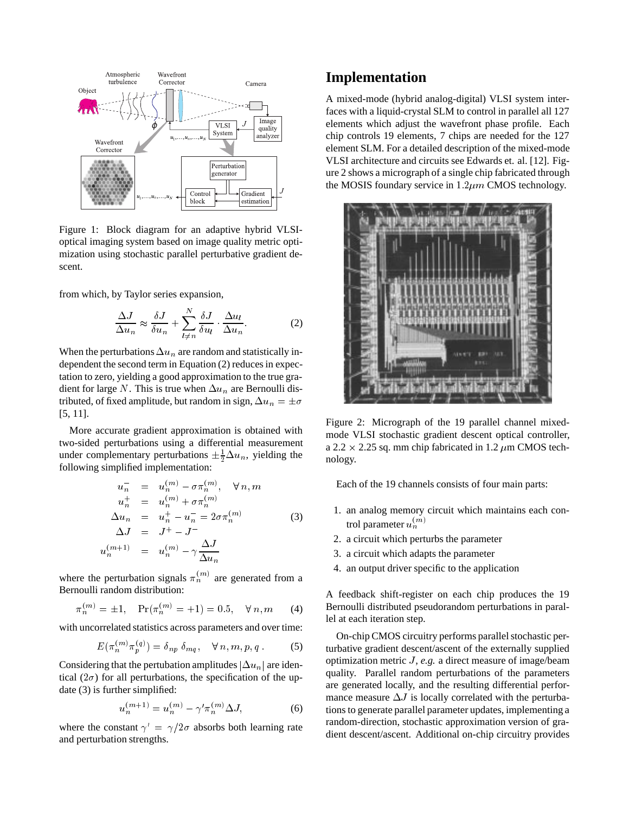

Figure 1: Block diagram for an adaptive hybrid VLSIoptical imaging system based on image quality metric optimization using stochastic parallel perturbative gradient descent.

from which, by Taylor series expansion,

$$
\frac{\Delta J}{\Delta u_n} \approx \frac{\delta J}{\delta u_n} + \sum_{l \neq n}^{N} \frac{\delta J}{\delta u_l} \cdot \frac{\Delta u_l}{\Delta u_n}.
$$
 (2)

When the perturbations  $\Delta u_n$  are random and statistically independent the second term in Equation (2) reduces in expectation to zero, yielding a good approximation to the true gradient for large N. This is true when  $\Delta u_n$  are Bernoulli distributed, of fixed amplitude, but random in sign,  $\Delta u_n = \pm \sigma$ [5, 11].

More accurate gradient approximation is obtained with two-sided perturbations using a differential measurement under complementary perturbations  $\pm \frac{1}{2} \Delta u_n$ , yielding the following simplified implementation:

$$
u_{n}^{-} = u_{n}^{(m)} - \sigma \pi_{n}^{(m)}, \quad \forall n, m
$$
  
\n
$$
u_{n}^{+} = u_{n}^{(m)} + \sigma \pi_{n}^{(m)}
$$
  
\n
$$
\Delta u_{n} = u_{n}^{+} - u_{n}^{-} = 2\sigma \pi_{n}^{(m)}
$$
  
\n
$$
\Delta J = J^{+} - J^{-}
$$
  
\n
$$
u_{n}^{(m+1)} = u_{n}^{(m)} - \gamma \frac{\Delta J}{\Delta u_{n}}
$$
\n(3)

where the perturbation signals  $\pi_n^{(m)}$  are generated from a Bernoulli random distribution:

$$
\pi_n^{(m)} = \pm 1
$$
,  $Pr(\pi_n^{(m)} = +1) = 0.5$ ,  $\forall n, m$  (4) Ber

with uncorrelated statistics across parameters and over time:

$$
E(\pi_n^{(m)}\pi_p^{(q)}) = \delta_{np} \,\delta_{mq}, \quad \forall \, n, m, p, q \,. \tag{5}
$$

Considering that the pertubation amplitudes  $|\Delta u_n|$  are identical ( $2\sigma$ ) for all perturbations, the specification of the update (3) is further simplified:

$$
u_n^{(m+1)} = u_n^{(m)} - \gamma' \pi_n^{(m)} \Delta J,
$$
 (6)

where the constant  $\gamma' = \gamma/2\sigma$  absorbs both learning rate and perturbation strengths.

### **Implementation**

A mixed-mode (hybrid analog-digital) VLSI system interfaces with a liquid-crystal SLM to control in parallel all 127 elements which adjust the wavefront phase profile. Each chip controls 19 elements, 7 chips are needed for the 127 element SLM. For a detailed description of the mixed-mode VLSI architecture and circuits see Edwards et. al. [12]. Figure 2 shows a micrograph of a single chip fabricated through the MOSIS foundary service in  $1.2 \mu m$  CMOS technology.



Figure 2: Micrograph of the 19 parallel channel mixedmode VLSI stochastic gradient descent optical controller, a 2.2  $\times$  2.25 sq. mm chip fabricated in 1.2  $\mu$ m CMOS technology.

Each of the 19 channels consists of four main parts:

- 1. an analog memory circuit which maintains each control parameter  $u_n^{(m)}$
- 2. a circuit which perturbs the parameter
- 3. a circuit which adapts the parameter
- 4. an output driver specific to the application

A feedback shift-register on each chip produces the 19 Bernoulli distributed pseudorandom perturbations in parallel at each iteration step.

On-chip CMOS circuitry performs parallel stochastic perturbative gradient descent/ascent of the externally supplied optimization metric *J*, *e.g.* a direct measure of image/beam quality. Parallel random perturbations of the parameters are generated locally, and the resulting differential performance measure  $\Delta J$  is locally correlated with the perturbations to generate parallel parameter updates, implementing a random-direction, stochastic approximation version of gradient descent/ascent. Additional on-chip circuitry provides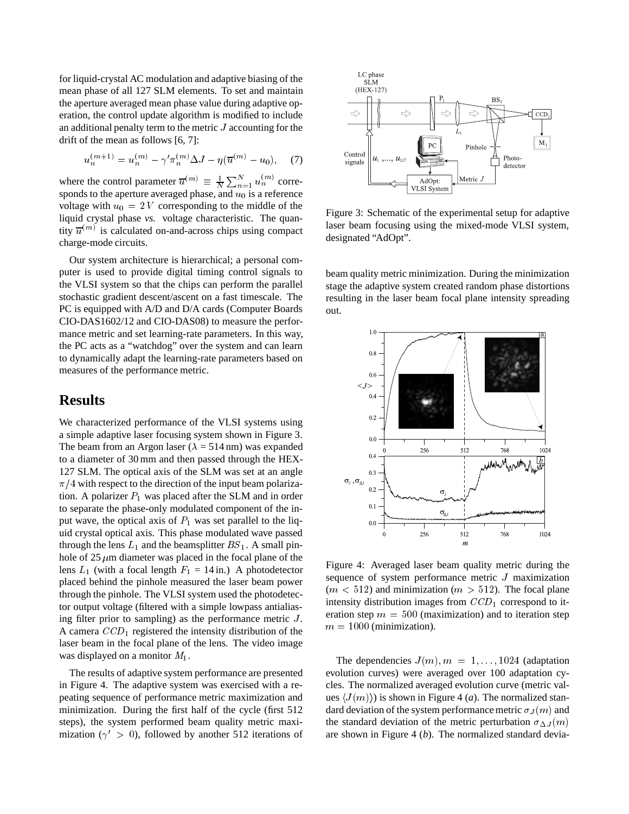for liquid-crystal AC modulation and adaptive biasing of the mean phase of all 127 SLM elements. To set and maintain the aperture averaged mean phase value during adaptive operation, the control update algorithm is modified to include an additional penalty term to the metric <sup>J</sup> accounting for the drift of the mean as follows [6, 7]:

$$
u_n^{(m+1)} = u_n^{(m)} - \gamma' \pi_n^{(m)} \Delta J - \eta (\overline{u}^{(m)} - u_0), \quad (7)
$$

where the control parameter  $\overline{u}^{(m)} \equiv \frac{1}{N} \sum_{n=1}^{N} u_n^{(m)}$  corresponds to the aperture averaged phase, and  $u_0$  is a reference voltage with  $u_0 = 2V$  corresponding to the middle of the liquid crystal phase *vs.* voltage characteristic. The quantity  $\overline{u}^{(m)}$  is calculated on-and-across chips using compact charge-mode circuits.

Our system architecture is hierarchical; a personal computer is used to provide digital timing control signals to the VLSI system so that the chips can perform the parallel stochastic gradient descent/ascent on a fast timescale. The PC is equipped with A/D and D/A cards (Computer Boards CIO-DAS1602/12 and CIO-DAS08) to measure the performance metric and set learning-rate parameters. In this way, the PC acts as a "watchdog" over the system and can learn to dynamically adapt the learning-rate parameters based on measures of the performance metric.

#### **Results**

We characterized performance of the VLSI systems using a simple adaptive laser focusing system shown in Figure 3. The beam from an Argon laser ( $\lambda = 514$  nm) was expanded to a diameter of 30 mm and then passed through the HEX-127 SLM. The optical axis of the SLM was set at an angle  $\pi/4$  with respect to the direction of the input beam polarization. A polarizer  $P_1$  was placed after the SLM and in order to separate the phase-only modulated component of the input wave, the optical axis of  $P_1$  was set parallel to the liquid crystal optical axis. This phase modulated wave passed through the lens  $L_1$  and the beamsplitter  $BS_1$ . A small pinhole of 25  $\mu$ m diameter was placed in the focal plane of the lens  $L_1$  (with a focal length  $F_1 = 14$  in.) A photodetector placed behind the pinhole measured the laser beam power through the pinhole. The VLSI system used the photodetector output voltage (filtered with a simple lowpass antialiasing filter prior to sampling) as the performance metric  $J$ . A camera  $CCD_1$  registered the intensity distribution of the laser beam in the focal plane of the lens. The video image was displayed on a monitor  $M_1$ .

The results of adaptive system performance are presented in Figure 4. The adaptive system was exercised with a repeating sequence of performance metric maximization and minimization. During the first half of the cycle (first 512 steps), the system performed beam quality metric maximization ( $\gamma' > 0$ ), followed by another 512 iterations of



Figure 3: Schematic of the experimental setup for adaptive laser beam focusing using the mixed-mode VLSI system, designated "AdOpt".

beam quality metric minimization. During the minimization stage the adaptive system created random phase distortions resulting in the laser beam focal plane intensity spreading out.



Figure 4: Averaged laser beam quality metric during the sequence of system performance metric <sup>J</sup> maximization  $(m < 512)$  and minimization  $(m > 512)$ . The focal plane intensity distribution images from  $CCD<sub>1</sub>$  correspond to iteration step  $m = 500$  (maximization) and to iteration step  $m = 1000$  (minimization).

The dependencies  $J(m)$ ,  $m = 1, \ldots, 1024$  (adaptation evolution curves) were averaged over 100 adaptation cycles. The normalized averaged evolution curve (metric values  $\langle J(m)\rangle$  is shown in Figure 4 (*a*). The normalized standard deviation of the system performance metric  $\sigma_J(m)$  and the standard deviation of the metric perturbation  $\sigma_{\Delta J} (m)$ are shown in Figure 4 (*b*). The normalized standard devia